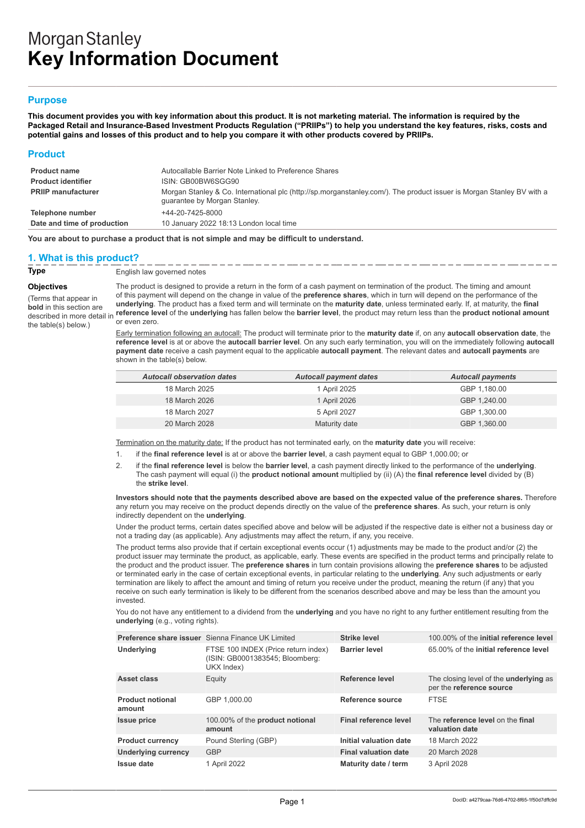# **Morgan Stanley Key Information Document**

## **Purpose**

**This document provides you with key information about this product. It is not marketing material. The information is required by the Packaged Retail and Insurance-Based Investment Products Regulation ("PRIIPs") to help you understand the key features, risks, costs and potential gains and losses of this product and to help you compare it with other products covered by PRIIPs.**

#### **Product**

| <b>Product name</b>         | Autocallable Barrier Note Linked to Preference Shares                                                                                                 |
|-----------------------------|-------------------------------------------------------------------------------------------------------------------------------------------------------|
| <b>Product identifier</b>   | ISIN: GB00BW6SGG90                                                                                                                                    |
| <b>PRIIP manufacturer</b>   | Morgan Stanley & Co. International plc (http://sp.morganstanley.com/). The product issuer is Morgan Stanley BV with a<br>quarantee by Morgan Stanley. |
| Telephone number            | +44-20-7425-8000                                                                                                                                      |
| Date and time of production | 10 January 2022 18:13 London local time                                                                                                               |

**You are about to purchase a product that is not simple and may be difficult to understand.**

## **1. What is this product?**

**Type**  $\frac{1}{2}$   $\frac{1}{2}$   $\frac{1}{2}$   $\frac{1}{2}$   $\frac{1}{2}$   $\frac{1}{2}$   $\frac{1}{2}$   $\frac{1}{2}$   $\frac{1}{2}$   $\frac{1}{2}$   $\frac{1}{2}$   $\frac{1}{2}$   $\frac{1}{2}$   $\frac{1}{2}$   $\frac{1}{2}$   $\frac{1}{2}$   $\frac{1}{2}$   $\frac{1}{2}$   $\frac{1}{2}$   $\frac{1}{2}$   $\frac{1}{2}$   $\frac{1$ 

**Objectives**

(Terms that appear in **bold** in this section are described in more detail in the table(s) below.)

The product is designed to provide a return in the form of a cash payment on termination of the product. The timing and amount of this payment will depend on the change in value of the **preference shares**, which in turn will depend on the performance of the **underlying**. The product has a fixed term and will terminate on the **maturity date**, unless terminated early. If, at maturity, the **final reference level** of the **underlying** has fallen below the **barrier level**, the product may return less than the **product notional amount** or even zero.

Early termination following an autocall: The product will terminate prior to the **maturity date** if, on any **autocall observation date**, the **reference level** is at or above the **autocall barrier level**. On any such early termination, you will on the immediately following **autocall payment date** receive a cash payment equal to the applicable **autocall payment**. The relevant dates and **autocall payments** are shown in the table(s) below.

| <b>Autocall observation dates</b> | <b>Autocall payment dates</b> | <b>Autocall payments</b> |
|-----------------------------------|-------------------------------|--------------------------|
| 18 March 2025                     | 1 April 2025                  | GBP 1,180.00             |
| 18 March 2026                     | 1 April 2026                  | GBP 1.240.00             |
| 18 March 2027                     | 5 April 2027                  | GBP 1.300.00             |
| 20 March 2028                     | Maturity date                 | GBP 1,360.00             |
|                                   |                               |                          |

Termination on the maturity date: If the product has not terminated early, on the **maturity date** you will receive:

- 1. if the **final reference level** is at or above the **barrier level**, a cash payment equal to GBP 1,000.00; or
- 2. if the **final reference level** is below the **barrier level**, a cash payment directly linked to the performance of the **underlying**. The cash payment will equal (i) the **product notional amount** multiplied by (ii) (A) the **final reference level** divided by (B) the **strike level**.

**Investors should note that the payments described above are based on the expected value of the preference shares.** Therefore any return you may receive on the product depends directly on the value of the **preference shares**. As such, your return is only indirectly dependent on the **underlying**.

Under the product terms, certain dates specified above and below will be adjusted if the respective date is either not a business day or not a trading day (as applicable). Any adjustments may affect the return, if any, you receive.

The product terms also provide that if certain exceptional events occur (1) adjustments may be made to the product and/or (2) the product issuer may terminate the product, as applicable, early. These events are specified in the product terms and principally relate to the product and the product issuer. The **preference shares** in turn contain provisions allowing the **preference shares** to be adjusted or terminated early in the case of certain exceptional events, in particular relating to the **underlying**. Any such adjustments or early termination are likely to affect the amount and timing of return you receive under the product, meaning the return (if any) that you receive on such early termination is likely to be different from the scenarios described above and may be less than the amount you invested.

You do not have any entitlement to a dividend from the **underlying** and you have no right to any further entitlement resulting from the **underlying** (e.g., voting rights).

|                                   | Preference share issuer Sienna Finance UK Limited                                    | <b>Strike level</b>         | 100,00% of the initial reference level                                    |
|-----------------------------------|--------------------------------------------------------------------------------------|-----------------------------|---------------------------------------------------------------------------|
| Underlying                        | FTSE 100 INDEX (Price return index)<br>(ISIN: GB0001383545; Bloomberg:<br>UKX Index) | <b>Barrier level</b>        | 65.00% of the initial reference level                                     |
| Asset class                       | Equity                                                                               | Reference level             | The closing level of the <b>underlying</b> as<br>per the reference source |
| <b>Product notional</b><br>amount | GBP 1.000.00                                                                         | Reference source            | <b>FTSE</b>                                                               |
| <b>Issue price</b>                | 100.00% of the product notional<br>amount                                            | Final reference level       | The reference level on the final<br>valuation date                        |
| <b>Product currency</b>           | Pound Sterling (GBP)                                                                 | Initial valuation date      | 18 March 2022                                                             |
| <b>Underlying currency</b>        | <b>GBP</b>                                                                           | <b>Final valuation date</b> | 20 March 2028                                                             |
| Issue date                        | 1 April 2022                                                                         | Maturity date / term        | 3 April 2028                                                              |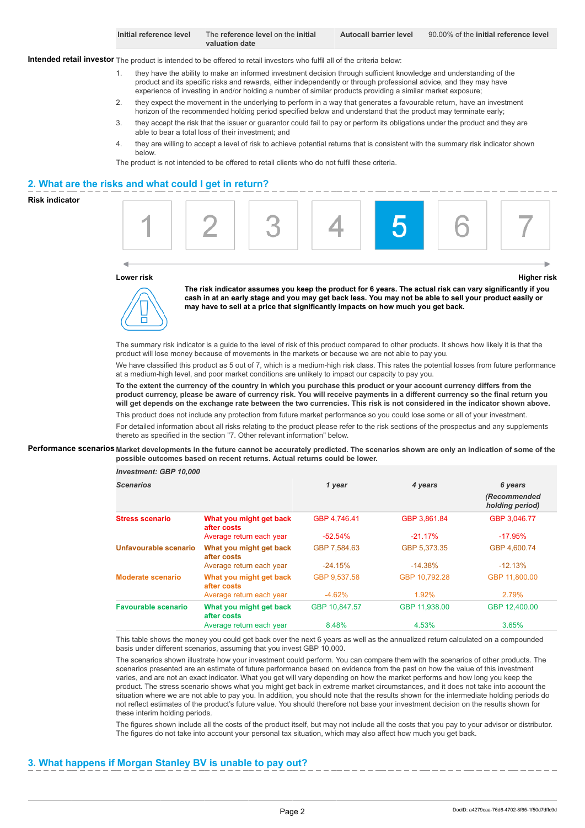| Initial reference level | The reference level on the initial | <b>Autocall barrier level</b> | 90,00% of the initial reference level |
|-------------------------|------------------------------------|-------------------------------|---------------------------------------|
|                         | valuation date                     |                               |                                       |

**Intended retail investor** The product is intended to be offered to retail investors who fulfil all of the criteria below:

- 1. they have the ability to make an informed investment decision through sufficient knowledge and understanding of the product and its specific risks and rewards, either independently or through professional advice, and they may have experience of investing in and/or holding a number of similar products providing a similar market exposure;
- 2. they expect the movement in the underlying to perform in a way that generates a favourable return, have an investment horizon of the recommended holding period specified below and understand that the product may terminate early;
- 3. they accept the risk that the issuer or guarantor could fail to pay or perform its obligations under the product and they are able to bear a total loss of their investment; and
- 4. they are willing to accept a level of risk to achieve potential returns that is consistent with the summary risk indicator shown below.

The product is not intended to be offered to retail clients who do not fulfil these criteria.

### **2. What are the risks and what could I get in return?**

#### **Risk indicator**



#### **Lower risk Higher risk**



*Investment: GBP 10,000*

**The risk indicator assumes you keep the product for 6 years. The actual risk can vary significantly if you cash in at an early stage and you may get back less. You may not be able to sell your product easily or may have to sell at a price that significantly impacts on how much you get back.**

The summary risk indicator is a guide to the level of risk of this product compared to other products. It shows how likely it is that the product will lose money because of movements in the markets or because we are not able to pay you.

We have classified this product as 5 out of 7, which is a medium-high risk class. This rates the potential losses from future performance at a medium-high level, and poor market conditions are unlikely to impact our capacity to pay you.

**To the extent the currency of the country in which you purchase this product or your account currency differs from the product currency, please be aware of currency risk. You will receive payments in a different currency so the final return you will get depends on the exchange rate between the two currencies. This risk is not considered in the indicator shown above.** This product does not include any protection from future market performance so you could lose some or all of your investment.

For detailed information about all risks relating to the product please refer to the risk sections of the prospectus and any supplements thereto as specified in the section "7. Other relevant information" below.

#### **Performance scenarios Market developments in the future cannot be accurately predicted. The scenarios shown are only an indication of some of the possible outcomes based on recent returns. Actual returns could be lower.**

| 111753411511. GDF 10.000   |                                        |               |               |                                 |
|----------------------------|----------------------------------------|---------------|---------------|---------------------------------|
| <b>Scenarios</b>           |                                        | 1 year        | 4 years       | 6 years                         |
|                            |                                        |               |               | (Recommended<br>holding period) |
| <b>Stress scenario</b>     | What you might get back<br>after costs | GBP 4,746.41  | GBP 3,861.84  | GBP 3,046.77                    |
|                            | Average return each year               | $-52.54%$     | $-21.17%$     | $-17.95%$                       |
| Unfavourable scenario      | What you might get back<br>after costs | GBP 7.584.63  | GBP 5,373.35  | GBP 4.600.74                    |
|                            | Average return each year               | $-24.15%$     | $-14.38%$     | $-12.13%$                       |
| Moderate scenario          | What you might get back<br>after costs | GBP 9,537.58  | GBP 10,792.28 | GBP 11,800.00                   |
|                            | Average return each year               | $-4.62%$      | 1.92%         | 2.79%                           |
| <b>Favourable scenario</b> | What you might get back<br>after costs | GBP 10,847.57 | GBP 11,938.00 | GBP 12,400.00                   |
|                            | Average return each year               | 8.48%         | 4.53%         | 3.65%                           |

This table shows the money you could get back over the next 6 years as well as the annualized return calculated on a compounded basis under different scenarios, assuming that you invest GBP 10,000.

The scenarios shown illustrate how your investment could perform. You can compare them with the scenarios of other products. The scenarios presented are an estimate of future performance based on evidence from the past on how the value of this investment varies, and are not an exact indicator. What you get will vary depending on how the market performs and how long you keep the product. The stress scenario shows what you might get back in extreme market circumstances, and it does not take into account the situation where we are not able to pay you. In addition, you should note that the results shown for the intermediate holding periods do not reflect estimates of the product's future value. You should therefore not base your investment decision on the results shown for these interim holding periods.

The figures shown include all the costs of the product itself, but may not include all the costs that you pay to your advisor or distributor. The figures do not take into account your personal tax situation, which may also affect how much you get back.

# **3. What happens if Morgan Stanley BV is unable to pay out?**